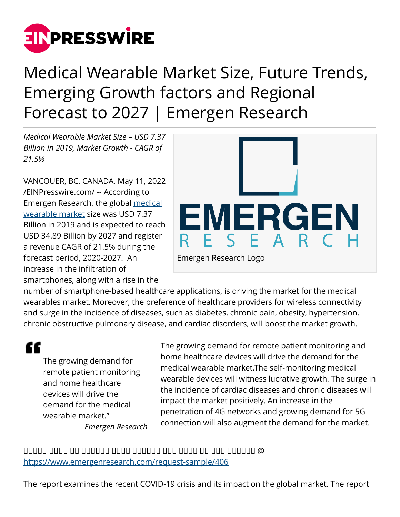

# Medical Wearable Market Size, Future Trends, Emerging Growth factors and Regional Forecast to 2027 | Emergen Research

*Medical Wearable Market Size – USD 7.37 Billion in 2019, Market Growth - CAGR of 21.5%*

VANCOUER, BC, CANADA, May 11, 2022 [/EINPresswire.com/](http://www.einpresswire.com) -- According to Emergen Research, the global [medical](https://www.emergenresearch.com/industry-report/medical-wearable-market) [wearable market](https://www.emergenresearch.com/industry-report/medical-wearable-market) size was USD 7.37 Billion in 2019 and is expected to reach USD 34.89 Billion by 2027 and register a revenue CAGR of 21.5% during the forecast period, 2020-2027. An increase in the infiltration of smartphones, along with a rise in the



number of smartphone-based healthcare applications, is driving the market for the medical wearables market. Moreover, the preference of healthcare providers for wireless connectivity and surge in the incidence of diseases, such as diabetes, chronic pain, obesity, hypertension, chronic obstructive pulmonary disease, and cardiac disorders, will boost the market growth.

# "

The growing demand for remote patient monitoring and home healthcare devices will drive the demand for the medical wearable market."

The growing demand for remote patient monitoring and home healthcare devices will drive the demand for the medical wearable market.The self-monitoring medical wearable devices will witness lucrative growth. The surge in the incidence of cardiac diseases and chronic diseases will impact the market positively. An increase in the penetration of 4G networks and growing demand for 5G connection will also augment the demand for the market.

*Emergen Research*

 $\Box$ <https://www.emergenresearch.com/request-sample/406>

The report examines the recent COVID-19 crisis and its impact on the global market. The report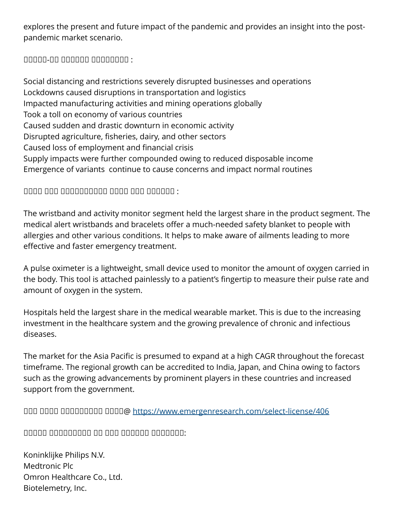explores the present and future impact of the pandemic and provides an insight into the postpandemic market scenario.

## $\Box$

Social distancing and restrictions severely disrupted businesses and operations Lockdowns caused disruptions in transportation and logistics Impacted manufacturing activities and mining operations globally Took a toll on economy of various countries Caused sudden and drastic downturn in economic activity Disrupted agriculture, fisheries, dairy, and other sectors Caused loss of employment and financial crisis Supply impacts were further compounded owing to reduced disposable income Emergence of variants continue to cause concerns and impact normal routines

#### $^{\prime}$  nnnn nnnnnnnnnnnnnnnnnnnnnnnnnnnn :

The wristband and activity monitor segment held the largest share in the product segment. The medical alert wristbands and bracelets offer a much-needed safety blanket to people with allergies and other various conditions. It helps to make aware of ailments leading to more effective and faster emergency treatment.

A pulse oximeter is a lightweight, small device used to monitor the amount of oxygen carried in the body. This tool is attached painlessly to a patient's fingertip to measure their pulse rate and amount of oxygen in the system.

Hospitals held the largest share in the medical wearable market. This is due to the increasing investment in the healthcare system and the growing prevalence of chronic and infectious diseases.

The market for the Asia Pacific is presumed to expand at a high CAGR throughout the forecast timeframe. The regional growth can be accredited to India, Japan, and China owing to factors such as the growing advancements by prominent players in these countries and increased support from the government.

ᵀᵂᵃ ᵃᵂᵂᵂ ᵀᵃᵁᵂᵂᵂᵂᵂᵁ ᵁᵂᵂᵃ@<https://www.emergenresearch.com/select-license/406>

#### $\Box$ החחתה תחתחה החח החח החחתה החחתחה  $\colon$

Koninklijke Philips N.V. Medtronic Plc Omron Healthcare Co., Ltd. Biotelemetry, Inc.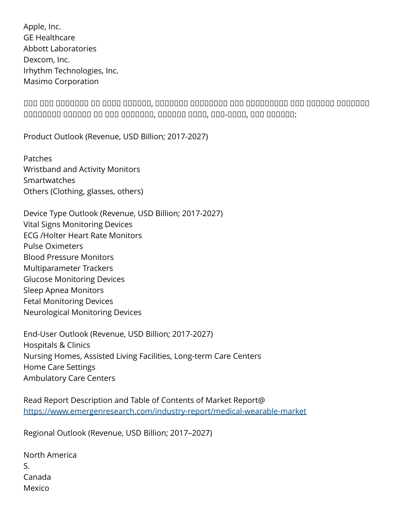Apple, Inc. GE Healthcare Abbott Laboratories Dexcom, Inc. Irhythm Technologies, Inc. Masimo Corporation

ᵀᵂᵂ ᵂᵂᵁ ᵂᵂᵂᵂᵂᵂᵁ ᵂᵁ ᵂᵂᵂᵂ ᵂᵁᵂᵂᵂᵂ, ᵀᵂᵁᵂᵂᵁᵂ ᵁᵁᵂᵁᵁᵂᵁᵂ ᵂᵁᵂ ᵂᵁᵂᵂᵁᵂᵂᵁᵁ ᵂᵂᵁ ᵂᵂᵂᵁᵁᵂ ᵂᵁᵁᵂᵁᵁᵂ ᵃᵁᵁᵂᵁᵁᵂᵁ ᵂᵁᵂᵂᵁᵂ ᵂᵂ ᵂᵂᵁ ᵂᵂᵂᵁᵂᵁᵂ, ᵁᵁᵂᵂᵁᵁ ᵂᵃᵂᵁ, ᵁᵂᵁ-ᵂᵂᵁᵂ, ᵁᵂᵁ ᵂᵁᵂᵂᵂᵂ:

Product Outlook (Revenue, USD Billion; 2017-2027)

Patches Wristband and Activity Monitors **Smartwatches** Others (Clothing, glasses, others)

Device Type Outlook (Revenue, USD Billion; 2017-2027) Vital Signs Monitoring Devices ECG /Holter Heart Rate Monitors Pulse Oximeters Blood Pressure Monitors Multiparameter Trackers Glucose Monitoring Devices Sleep Apnea Monitors Fetal Monitoring Devices Neurological Monitoring Devices

End-User Outlook (Revenue, USD Billion; 2017-2027) Hospitals & Clinics Nursing Homes, Assisted Living Facilities, Long-term Care Centers Home Care Settings Ambulatory Care Centers

Read Report Description and Table of Contents of Market Report@ <https://www.emergenresearch.com/industry-report/medical-wearable-market>

Regional Outlook (Revenue, USD Billion; 2017–2027)

| North America |
|---------------|
| S.            |
| Canada        |
| Mexico        |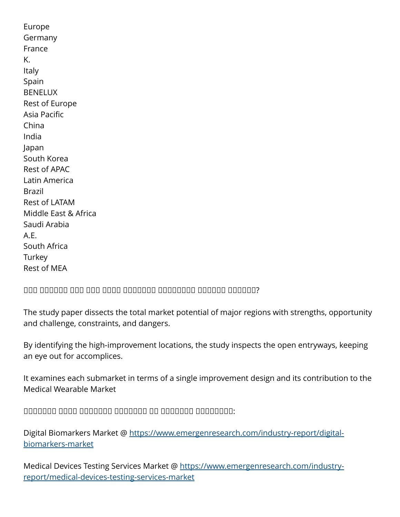Europe Germany France K. Italy Spain BENELUX Rest of Europe Asia Pacific China India Japan South Korea Rest of APAC Latin America Brazil Rest of LATAM Middle East & Africa Saudi Arabia A.E. South Africa **Turkey** Rest of MEA

## $\Box$

The study paper dissects the total market potential of major regions with strengths, opportunity and challenge, constraints, and dangers.

By identifying the high-improvement locations, the study inspects the open entryways, keeping an eye out for accomplices.

It examines each submarket in terms of a single improvement design and its contribution to the Medical Wearable Market

 $\Box$ 

Digital Biomarkers Market @ [https://www.emergenresearch.com/industry-report/digital](https://www.emergenresearch.com/industry-report/digital-biomarkers-market)[biomarkers-market](https://www.emergenresearch.com/industry-report/digital-biomarkers-market)

Medical Devices Testing Services Market @ [https://www.emergenresearch.com/industry](https://www.emergenresearch.com/industry-report/medical-devices-testing-services-market)[report/medical-devices-testing-services-market](https://www.emergenresearch.com/industry-report/medical-devices-testing-services-market)